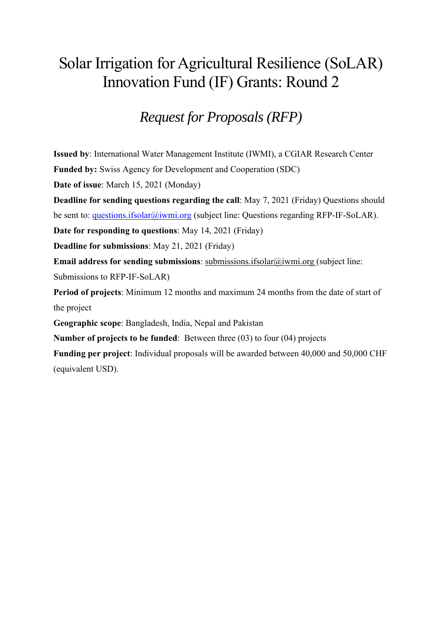# Solar Irrigation for Agricultural Resilience (SoLAR) Innovation Fund (IF) Grants: Round 2

# *Request for Proposals (RFP)*

**Issued by**: International Water Management Institute (IWMI), a CGIAR Research Center

**Funded by:** Swiss Agency for Development and Cooperation (SDC)

**Date of issue**: March 15, 2021 (Monday)

**Deadline for sending questions regarding the call**: May 7, 2021 (Friday) Questions should be sent to: questions.ifsolar@iwmi.org (subject line: Questions regarding RFP-IF-SoLAR).

**Date for responding to questions**: May 14, 2021 (Friday)

**Deadline for submissions**: May 21, 2021 (Friday)

**Email address for sending submissions**: submissions.ifsolar@iwmi.org (subject line: Submissions to RFP-IF-SoLAR)

**Period of projects**: Minimum 12 months and maximum 24 months from the date of start of the project

**Geographic scope**: Bangladesh, India, Nepal and Pakistan

**Number of projects to be funded**: Between three (03) to four (04) projects

**Funding per project**: Individual proposals will be awarded between 40,000 and 50,000 CHF (equivalent USD).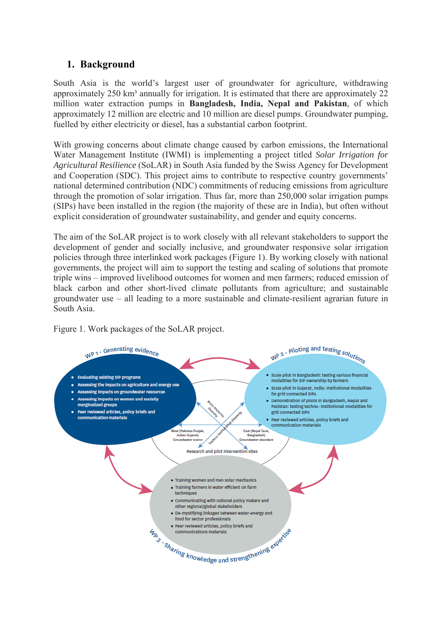# **1. Background**

South Asia is the world's largest user of groundwater for agriculture, withdrawing approximately  $250 \text{ km}^3$  annually for irrigation. It is estimated that there are approximately  $22$ million water extraction pumps in **Bangladesh, India, Nepal and Pakistan**, of which approximately 12 million are electric and 10 million are diesel pumps. Groundwater pumping, fuelled by either electricity or diesel, has a substantial carbon footprint.

With growing concerns about climate change caused by carbon emissions, the International Water Management Institute (IWMI) is implementing a project titled *Solar Irrigation for Agricultural Resilience* (SoLAR) in South Asia funded by the Swiss Agency for Development and Cooperation (SDC). This project aims to contribute to respective country governments' national determined contribution (NDC) commitments of reducing emissions from agriculture through the promotion of solar irrigation. Thus far, more than 250,000 solar irrigation pumps (SIPs) have been installed in the region (the majority of these are in India), but often without explicit consideration of groundwater sustainability, and gender and equity concerns.

The aim of the SoLAR project is to work closely with all relevant stakeholders to support the development of gender and socially inclusive, and groundwater responsive solar irrigation policies through three interlinked work packages (Figure 1). By working closely with national governments, the project will aim to support the testing and scaling of solutions that promote triple wins – improved livelihood outcomes for women and men farmers; reduced emission of black carbon and other short-lived climate pollutants from agriculture; and sustainable groundwater use – all leading to a more sustainable and climate-resilient agrarian future in South Asia.

Figure 1. Work packages of the SoLAR project.

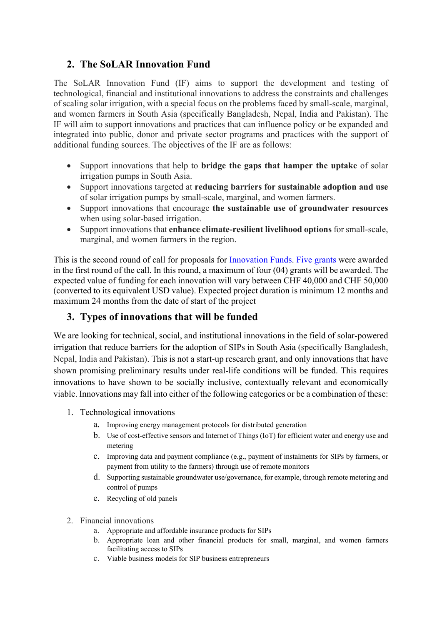# **2. The SoLAR Innovation Fund**

The SoLAR Innovation Fund (IF) aims to support the development and testing of technological, financial and institutional innovations to address the constraints and challenges of scaling solar irrigation, with a special focus on the problems faced by small-scale, marginal, and women farmers in South Asia (specifically Bangladesh, Nepal, India and Pakistan). The IF will aim to support innovations and practices that can influence policy or be expanded and integrated into public, donor and private sector programs and practices with the support of additional funding sources. The objectives of the IF are as follows:

- Support innovations that help to **bridge the gaps that hamper the uptake** of solar irrigation pumps in South Asia.
- Support innovations targeted at **reducing barriers for sustainable adoption and use** of solar irrigation pumps by small-scale, marginal, and women farmers.
- Support innovations that encourage **the sustainable use of groundwater resources** when using solar-based irrigation.
- Support innovations that **enhance climate-resilient livelihood options** for small-scale, marginal, and women farmers in the region.

This is the second round of call for proposals for Innovation Funds. Five grants were awarded in the first round of the call. In this round, a maximum of four (04) grants will be awarded. The expected value of funding for each innovation will vary between CHF 40,000 and CHF 50,000 (converted to its equivalent USD value). Expected project duration is minimum 12 months and maximum 24 months from the date of start of the project

## **3. Types of innovations that will be funded**

We are looking for technical, social, and institutional innovations in the field of solar-powered irrigation that reduce barriers for the adoption of SIPs in South Asia (specifically Bangladesh, Nepal, India and Pakistan). This is not a start-up research grant, and only innovations that have shown promising preliminary results under real-life conditions will be funded. This requires innovations to have shown to be socially inclusive, contextually relevant and economically viable. Innovations may fall into either of the following categories or be a combination of these:

- 1. Technological innovations
	- a. Improving energy management protocols for distributed generation
	- b. Use of cost-effective sensors and Internet of Things (IoT) for efficient water and energy use and metering
	- c. Improving data and payment compliance (e.g., payment of instalments for SIPs by farmers, or payment from utility to the farmers) through use of remote monitors
	- d. Supporting sustainable groundwater use/governance, for example, through remote metering and control of pumps
	- e. Recycling of old panels
- 2. Financial innovations
	- a. Appropriate and affordable insurance products for SIPs
	- b. Appropriate loan and other financial products for small, marginal, and women farmers facilitating access to SIPs
	- c. Viable business models for SIP business entrepreneurs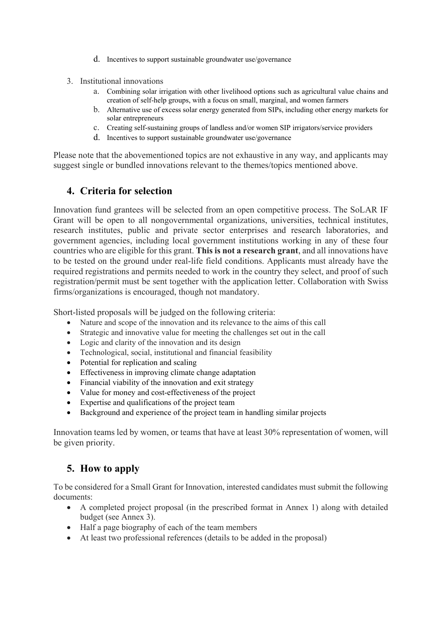- d. Incentives to support sustainable groundwater use/governance
- 3. Institutional innovations
	- a. Combining solar irrigation with other livelihood options such as agricultural value chains and creation of self-help groups, with a focus on small, marginal, and women farmers
	- b. Alternative use of excess solar energy generated from SIPs, including other energy markets for solar entrepreneurs
	- c. Creating self-sustaining groups of landless and/or women SIP irrigators/service providers
	- d. Incentives to support sustainable groundwater use/governance

Please note that the abovementioned topics are not exhaustive in any way, and applicants may suggest single or bundled innovations relevant to the themes/topics mentioned above.

### **4. Criteria for selection**

Innovation fund grantees will be selected from an open competitive process. The SoLAR IF Grant will be open to all nongovernmental organizations, universities, technical institutes, research institutes, public and private sector enterprises and research laboratories, and government agencies, including local government institutions working in any of these four countries who are eligible for this grant. **This is not a research grant**, and all innovations have to be tested on the ground under real-life field conditions. Applicants must already have the required registrations and permits needed to work in the country they select, and proof of such registration/permit must be sent together with the application letter. Collaboration with Swiss firms/organizations is encouraged, though not mandatory.

Short-listed proposals will be judged on the following criteria:

- Nature and scope of the innovation and its relevance to the aims of this call
- Strategic and innovative value for meeting the challenges set out in the call
- Logic and clarity of the innovation and its design
- Technological, social, institutional and financial feasibility
- Potential for replication and scaling
- Effectiveness in improving climate change adaptation
- Financial viability of the innovation and exit strategy
- Value for money and cost-effectiveness of the project
- Expertise and qualifications of the project team
- Background and experience of the project team in handling similar projects

Innovation teams led by women, or teams that have at least 30% representation of women, will be given priority.

## **5. How to apply**

To be considered for a Small Grant for Innovation, interested candidates must submit the following documents:

- A completed project proposal (in the prescribed format in Annex 1) along with detailed budget (see Annex 3).
- Half a page biography of each of the team members
- At least two professional references (details to be added in the proposal)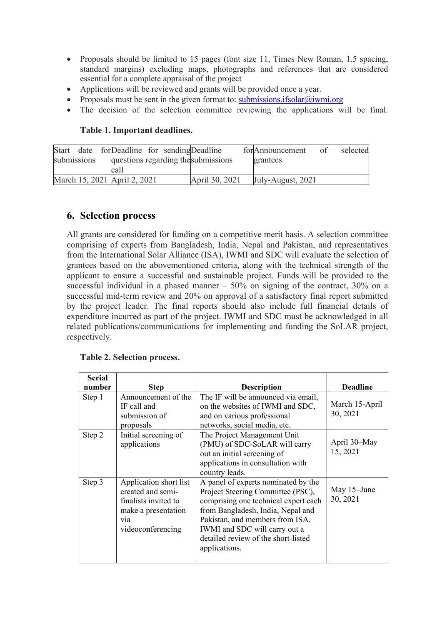- Proposals should be limited to 15 pages (font size 11, Times New Roman, 1.5 spacing, standard margins) excluding maps, photographs and references that are considered essential for a complete appraisal of the project
- Applications will be reviewed and grants will be provided once a year.
- Proposals must be sent in the given format to: submissions.ifsolar@iwmi.org
- The decision of the selection committee reviewing the applications will be final.

#### **Table 1. Important deadlines.**

|             | Start date for Deadline for sending Deadline |  |                                     | forAnnouncement of | selected |
|-------------|----------------------------------------------|--|-------------------------------------|--------------------|----------|
| submissions |                                              |  | questions regarding the submissions | grantees           |          |
|             | call                                         |  |                                     |                    |          |
|             | March 15, 2021 April 2, 2021                 |  | April 30, 2021                      | July-August, 2021  |          |

### **6. Selection process**

All grants are considered for funding on a competitive merit basis. A selection committee comprising of experts from Bangladesh, India, Nepal and Pakistan, and representatives from the International Solar Alliance (ISA), IWMI and SDC will evaluate the selection of grantees based on the abovementioned criteria, along with the technical strength of the applicant to ensure a successful and sustainable project. Funds will be provided to the successful individual in a phased manner  $-50\%$  on signing of the contract, 30% on a successful mid-term review and 20% on approval of a satisfactory final report submitted by the project leader. The final reports should also include full financial details of expenditure incurred as part of the project. IWMI and SDC must be acknowledged in all related publications/communications for implementing and funding the SoLAR project, respectively.

| <b>Serial</b> |                                                                                                                                     |                                                                                                                                                                                                                                                                                   |                            |
|---------------|-------------------------------------------------------------------------------------------------------------------------------------|-----------------------------------------------------------------------------------------------------------------------------------------------------------------------------------------------------------------------------------------------------------------------------------|----------------------------|
| number        | <b>Step</b>                                                                                                                         | <b>Description</b>                                                                                                                                                                                                                                                                | <b>Deadline</b>            |
| Step 1        | Announcement of the<br>IF call and<br>submission of<br>proposals                                                                    | The IF will be announced via email,<br>on the websites of IWMI and SDC,<br>and on various professional<br>networks, social media, etc.                                                                                                                                            | March 15-April<br>30, 2021 |
| Step 2        | Initial screening of<br>applications                                                                                                | The Project Management Unit<br>(PMU) of SDC-SoLAR will carry<br>out an initial screening of<br>applications in consultation with<br>country leads.                                                                                                                                | April 30–May<br>15, 2021   |
| Step 3        | Application short list<br>created and semi-<br>finalists invited to<br>make a presentation<br>V <sub>1</sub> a<br>videoconferencing | A panel of experts nominated by the<br>Project Steering Committee (PSC),<br>comprising one technical expert each<br>from Bangladesh, India, Nepal and<br>Pakistan, and members from ISA,<br>IWMI and SDC will carry out a<br>detailed review of the short-listed<br>applications. | May 15–June<br>30, 2021    |

#### **Table 2. Selection process.**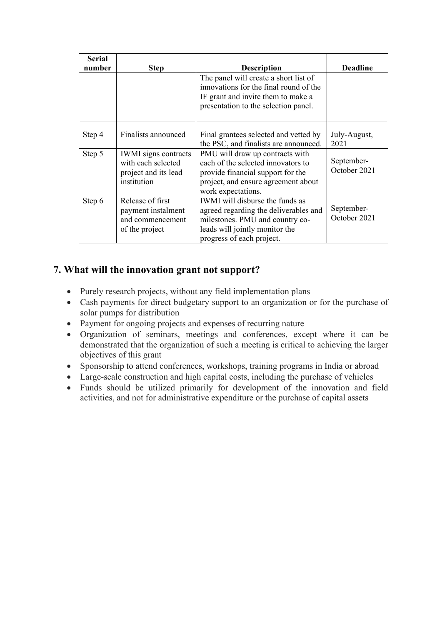| <b>Serial</b><br>number | <b>Step</b>                                                                              | <b>Description</b>                                                                                                                                                                | <b>Deadline</b>            |
|-------------------------|------------------------------------------------------------------------------------------|-----------------------------------------------------------------------------------------------------------------------------------------------------------------------------------|----------------------------|
|                         |                                                                                          | The panel will create a short list of<br>innovations for the final round of the<br>IF grant and invite them to make a<br>presentation to the selection panel.                     |                            |
| Step 4                  | Finalists announced                                                                      | Final grantees selected and vetted by<br>the PSC, and finalists are announced.                                                                                                    | July-August,<br>2021       |
| Step 5                  | <b>IWMI</b> signs contracts<br>with each selected<br>project and its lead<br>institution | PMU will draw up contracts with<br>each of the selected innovators to<br>provide financial support for the<br>project, and ensure agreement about<br>work expectations.           | September-<br>October 2021 |
| Step 6                  | Release of first<br>payment instalment<br>and commencement<br>of the project             | <b>IWMI</b> will disburse the funds as<br>agreed regarding the deliverables and<br>milestones. PMU and country co-<br>leads will jointly monitor the<br>progress of each project. | September-<br>October 2021 |

# **7. What will the innovation grant not support?**

- Purely research projects, without any field implementation plans
- Cash payments for direct budgetary support to an organization or for the purchase of solar pumps for distribution
- Payment for ongoing projects and expenses of recurring nature
- Organization of seminars, meetings and conferences, except where it can be demonstrated that the organization of such a meeting is critical to achieving the larger objectives of this grant
- Sponsorship to attend conferences, workshops, training programs in India or abroad
- Large-scale construction and high capital costs, including the purchase of vehicles
- Funds should be utilized primarily for development of the innovation and field activities, and not for administrative expenditure or the purchase of capital assets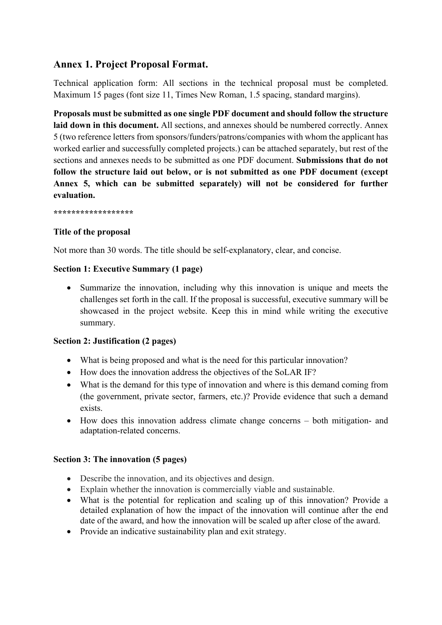# **Annex 1. Project Proposal Format.**

Technical application form: All sections in the technical proposal must be completed. Maximum 15 pages (font size 11, Times New Roman, 1.5 spacing, standard margins).

**Proposals must be submitted as one single PDF document and should follow the structure laid down in this document.** All sections, and annexes should be numbered correctly. Annex 5 (two reference letters from sponsors/funders/patrons/companies with whom the applicant has worked earlier and successfully completed projects.) can be attached separately, but rest of the sections and annexes needs to be submitted as one PDF document. **Submissions that do not follow the structure laid out below, or is not submitted as one PDF document (except Annex 5, which can be submitted separately) will not be considered for further evaluation.** 

**\*\*\*\*\*\*\*\*\*\*\*\*\*\*\*\*\*\*** 

## **Title of the proposal**

Not more than 30 words. The title should be self-explanatory, clear, and concise.

## **Section 1: Executive Summary (1 page)**

 Summarize the innovation, including why this innovation is unique and meets the challenges set forth in the call. If the proposal is successful, executive summary will be showcased in the project website. Keep this in mind while writing the executive summary.

## **Section 2: Justification (2 pages)**

- What is being proposed and what is the need for this particular innovation?
- How does the innovation address the objectives of the SoLAR IF?
- What is the demand for this type of innovation and where is this demand coming from (the government, private sector, farmers, etc.)? Provide evidence that such a demand exists.
- How does this innovation address climate change concerns both mitigation- and adaptation-related concerns.

#### **Section 3: The innovation (5 pages)**

- Describe the innovation, and its objectives and design.
- Explain whether the innovation is commercially viable and sustainable.
- What is the potential for replication and scaling up of this innovation? Provide a detailed explanation of how the impact of the innovation will continue after the end date of the award, and how the innovation will be scaled up after close of the award.
- Provide an indicative sustainability plan and exit strategy.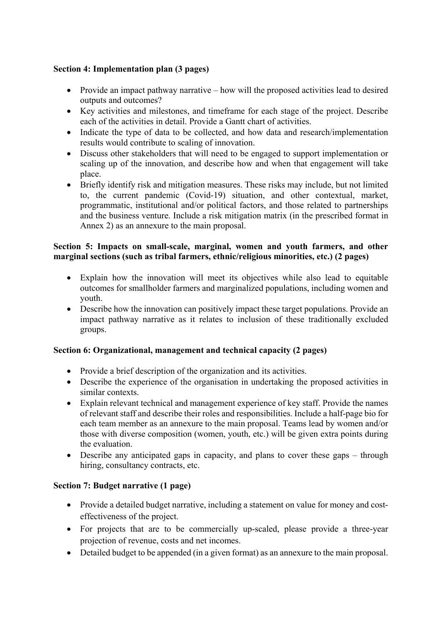#### **Section 4: Implementation plan (3 pages)**

- Provide an impact pathway narrative how will the proposed activities lead to desired outputs and outcomes?
- Key activities and milestones, and timeframe for each stage of the project. Describe each of the activities in detail. Provide a Gantt chart of activities.
- Indicate the type of data to be collected, and how data and research/implementation results would contribute to scaling of innovation.
- Discuss other stakeholders that will need to be engaged to support implementation or scaling up of the innovation, and describe how and when that engagement will take place.
- Briefly identify risk and mitigation measures. These risks may include, but not limited to, the current pandemic (Covid-19) situation, and other contextual, market, programmatic, institutional and/or political factors, and those related to partnerships and the business venture. Include a risk mitigation matrix (in the prescribed format in Annex 2) as an annexure to the main proposal.

#### **Section 5: Impacts on small-scale, marginal, women and youth farmers, and other marginal sections (such as tribal farmers, ethnic/religious minorities, etc.) (2 pages)**

- Explain how the innovation will meet its objectives while also lead to equitable outcomes for smallholder farmers and marginalized populations, including women and youth.
- Describe how the innovation can positively impact these target populations. Provide an impact pathway narrative as it relates to inclusion of these traditionally excluded groups.

#### **Section 6: Organizational, management and technical capacity (2 pages)**

- Provide a brief description of the organization and its activities.
- Describe the experience of the organisation in undertaking the proposed activities in similar contexts.
- Explain relevant technical and management experience of key staff. Provide the names of relevant staff and describe their roles and responsibilities. Include a half-page bio for each team member as an annexure to the main proposal. Teams lead by women and/or those with diverse composition (women, youth, etc.) will be given extra points during the evaluation.
- Describe any anticipated gaps in capacity, and plans to cover these gaps through hiring, consultancy contracts, etc.

## **Section 7: Budget narrative (1 page)**

- Provide a detailed budget narrative, including a statement on value for money and costeffectiveness of the project.
- For projects that are to be commercially up-scaled, please provide a three-year projection of revenue, costs and net incomes.
- Detailed budget to be appended (in a given format) as an annexure to the main proposal.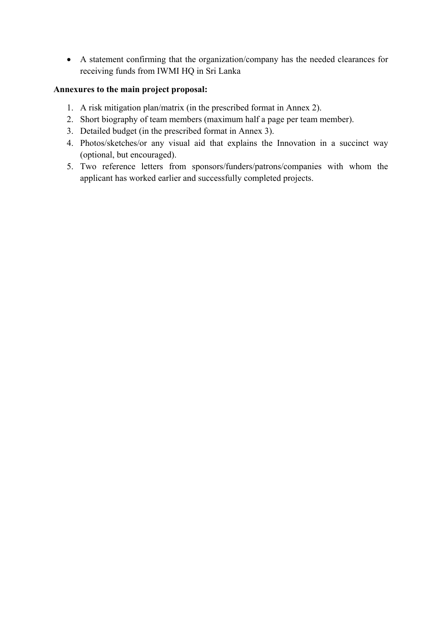A statement confirming that the organization/company has the needed clearances for receiving funds from IWMI HQ in Sri Lanka

#### **Annexures to the main project proposal:**

- 1. A risk mitigation plan/matrix (in the prescribed format in Annex 2).
- 2. Short biography of team members (maximum half a page per team member).
- 3. Detailed budget (in the prescribed format in Annex 3).
- 4. Photos/sketches/or any visual aid that explains the Innovation in a succinct way (optional, but encouraged).
- 5. Two reference letters from sponsors/funders/patrons/companies with whom the applicant has worked earlier and successfully completed projects.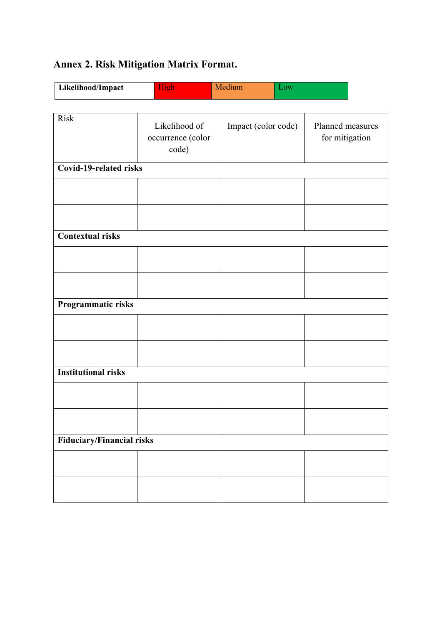# **Annex 2. Risk Mitigation Matrix Format.**

| Likelihood/Impact | High <sup>1</sup> | Medium | <b>JOW</b> |
|-------------------|-------------------|--------|------------|
|                   |                   |        |            |

| <b>Risk</b>                      | Likelihood of<br>occurrence (color<br>code) | Impact (color code) | Planned measures<br>for mitigation |  |  |  |  |
|----------------------------------|---------------------------------------------|---------------------|------------------------------------|--|--|--|--|
| <b>Covid-19-related risks</b>    |                                             |                     |                                    |  |  |  |  |
|                                  |                                             |                     |                                    |  |  |  |  |
|                                  |                                             |                     |                                    |  |  |  |  |
| <b>Contextual risks</b>          |                                             |                     |                                    |  |  |  |  |
|                                  |                                             |                     |                                    |  |  |  |  |
|                                  |                                             |                     |                                    |  |  |  |  |
| Programmatic risks               |                                             |                     |                                    |  |  |  |  |
|                                  |                                             |                     |                                    |  |  |  |  |
|                                  |                                             |                     |                                    |  |  |  |  |
| <b>Institutional risks</b>       |                                             |                     |                                    |  |  |  |  |
|                                  |                                             |                     |                                    |  |  |  |  |
|                                  |                                             |                     |                                    |  |  |  |  |
| <b>Fiduciary/Financial risks</b> |                                             |                     |                                    |  |  |  |  |
|                                  |                                             |                     |                                    |  |  |  |  |
|                                  |                                             |                     |                                    |  |  |  |  |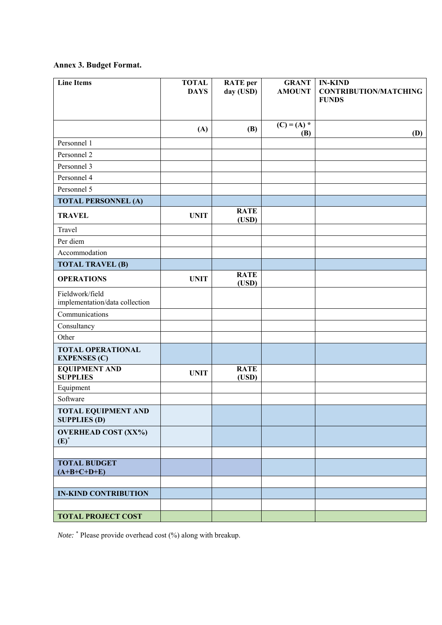## **Annex 3. Budget Format.**

| <b>Line Items</b>                                 | <b>TOTAL</b><br><b>DAYS</b> | <b>RATE</b> per<br>day (USD) | <b>GRANT</b><br><b>AMOUNT</b> | <b>IN-KIND</b><br><b>CONTRIBUTION/MATCHING</b><br><b>FUNDS</b> |
|---------------------------------------------------|-----------------------------|------------------------------|-------------------------------|----------------------------------------------------------------|
|                                                   | (A)                         | (B)                          | $(C) = (A)$ *<br>(B)          | (D)                                                            |
| Personnel 1                                       |                             |                              |                               |                                                                |
| Personnel 2                                       |                             |                              |                               |                                                                |
| Personnel 3                                       |                             |                              |                               |                                                                |
| Personnel 4                                       |                             |                              |                               |                                                                |
| Personnel 5                                       |                             |                              |                               |                                                                |
| <b>TOTAL PERSONNEL (A)</b>                        |                             |                              |                               |                                                                |
| <b>TRAVEL</b>                                     | <b>UNIT</b>                 | <b>RATE</b><br>(USD)         |                               |                                                                |
| Travel                                            |                             |                              |                               |                                                                |
| Per diem                                          |                             |                              |                               |                                                                |
| Accommodation                                     |                             |                              |                               |                                                                |
| <b>TOTAL TRAVEL (B)</b>                           |                             |                              |                               |                                                                |
| <b>OPERATIONS</b>                                 | <b>UNIT</b>                 | <b>RATE</b><br>(USD)         |                               |                                                                |
| Fieldwork/field<br>implementation/data collection |                             |                              |                               |                                                                |
| Communications                                    |                             |                              |                               |                                                                |
| Consultancy                                       |                             |                              |                               |                                                                |
| Other                                             |                             |                              |                               |                                                                |
| <b>TOTAL OPERATIONAL</b><br><b>EXPENSES (C)</b>   |                             |                              |                               |                                                                |
| <b>EQUIPMENT AND</b><br><b>SUPPLIES</b>           | <b>UNIT</b>                 | <b>RATE</b><br>(USD)         |                               |                                                                |
| Equipment                                         |                             |                              |                               |                                                                |
| Software                                          |                             |                              |                               |                                                                |
| <b>TOTAL EQUIPMENT AND</b><br><b>SUPPLIES (D)</b> |                             |                              |                               |                                                                |
| <b>OVERHEAD COST (XX%)</b><br>$(E)^*$             |                             |                              |                               |                                                                |
|                                                   |                             |                              |                               |                                                                |
| <b>TOTAL BUDGET</b><br>$(A+B+C+D+E)$              |                             |                              |                               |                                                                |
|                                                   |                             |                              |                               |                                                                |
| <b>IN-KIND CONTRIBUTION</b>                       |                             |                              |                               |                                                                |
|                                                   |                             |                              |                               |                                                                |
| <b>TOTAL PROJECT COST</b>                         |                             |                              |                               |                                                                |

*Note:* \* Please provide overhead cost (%) along with breakup.